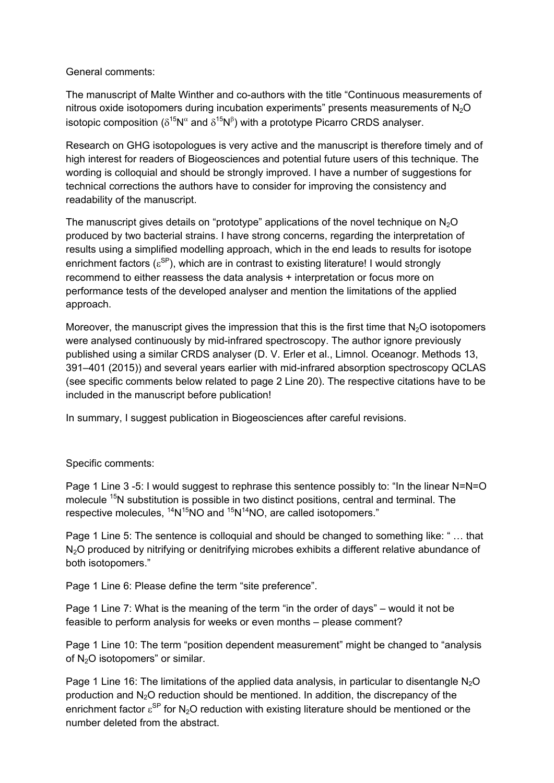General comments:

The manuscript of Malte Winther and co-authors with the title "Continuous measurements of nitrous oxide isotopomers during incubation experiments" presents measurements of  $N_2O$ isotopic composition ( $\delta^{15}N^{\alpha}$  and  $\delta^{15}N^{\beta}$ ) with a prototype Picarro CRDS analyser.

Research on GHG isotopologues is very active and the manuscript is therefore timely and of high interest for readers of Biogeosciences and potential future users of this technique. The wording is colloquial and should be strongly improved. I have a number of suggestions for technical corrections the authors have to consider for improving the consistency and readability of the manuscript.

The manuscript gives details on "prototype" applications of the novel technique on  $N_2O$ produced by two bacterial strains. I have strong concerns, regarding the interpretation of results using a simplified modelling approach, which in the end leads to results for isotope enrichment factors ( $\varepsilon^{\text{SP}}$ ), which are in contrast to existing literature! I would strongly recommend to either reassess the data analysis + interpretation or focus more on performance tests of the developed analyser and mention the limitations of the applied approach.

Moreover, the manuscript gives the impression that this is the first time that  $N<sub>2</sub>O$  isotopomers were analysed continuously by mid-infrared spectroscopy. The author ignore previously published using a similar CRDS analyser (D. V. Erler et al., Limnol. Oceanogr. Methods 13, 391–401 (2015)) and several years earlier with mid-infrared absorption spectroscopy QCLAS (see specific comments below related to page 2 Line 20). The respective citations have to be included in the manuscript before publication!

In summary, I suggest publication in Biogeosciences after careful revisions.

## Specific comments:

Page 1 Line 3 -5: I would suggest to rephrase this sentence possibly to: "In the linear N=N=O molecule <sup>15</sup>N substitution is possible in two distinct positions, central and terminal. The respective molecules,  ${}^{14}N^{15}NO$  and  ${}^{15}N^{14}NO$ , are called isotopomers."

Page 1 Line 5: The sentence is colloquial and should be changed to something like: " … that N<sub>2</sub>O produced by nitrifying or denitrifying microbes exhibits a different relative abundance of both isotopomers."

Page 1 Line 6: Please define the term "site preference".

Page 1 Line 7: What is the meaning of the term "in the order of days" – would it not be feasible to perform analysis for weeks or even months – please comment?

Page 1 Line 10: The term "position dependent measurement" might be changed to "analysis of N2O isotopomers" or similar.

Page 1 Line 16: The limitations of the applied data analysis, in particular to disentangle  $N_2O$ production and  $N_2O$  reduction should be mentioned. In addition, the discrepancy of the enrichment factor  $\epsilon^{\rm SP}$  for N<sub>2</sub>O reduction with existing literature should be mentioned or the number deleted from the abstract.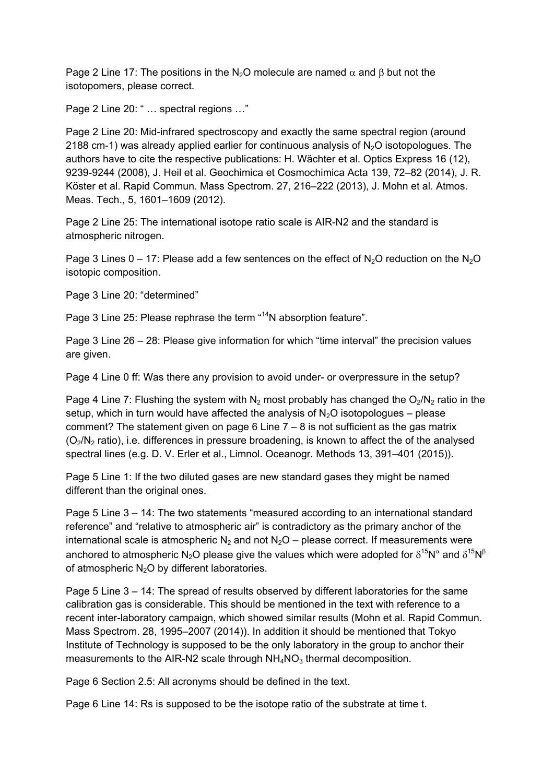Page 2 Line 17: The positions in the N<sub>2</sub>O molecule are named  $\alpha$  and  $\beta$  but not the isotopomers, please correct.

Page 2 Line 20: " ... spectral regions ..."

Page 2 Line 20: Mid-infrared spectroscopy and exactly the same spectral region (around 2188 cm-1) was already applied earlier for continuous analysis of  $N_2O$  isotopologues. The authors have to cite the respective publications: H. Wächter et al. Optics Express 16 (12), 9239-9244 (2008), J. Heil et al. Geochimica et Cosmochimica Acta 139, 72–82 (2014), J. R. Köster et al. Rapid Commun. Mass Spectrom. 27, 216–222 (2013), J. Mohn et al. Atmos. Meas. Tech., 5, 1601–1609 (2012).

Page 2 Line 25: The international isotope ratio scale is AIR-N2 and the standard is atmospheric nitrogen.

Page 3 Lines  $0 - 17$ : Please add a few sentences on the effect of N<sub>2</sub>O reduction on the N<sub>2</sub>O isotopic composition.

Page 3 Line 20: "determined"

Page 3 Line 25: Please rephrase the term "<sup>14</sup>N absorption feature".

Page 3 Line 26 – 28: Please give information for which "time interval" the precision values are given.

Page 4 Line 0 ff: Was there any provision to avoid under- or overpressure in the setup?

Page 4 Line 7: Flushing the system with  $N_2$  most probably has changed the  $O_2/N_2$  ratio in the setup, which in turn would have affected the analysis of  $N_2O$  isotopologues – please comment? The statement given on page 6 Line 7 – 8 is not sufficient as the gas matrix  $(O<sub>2</sub>/N<sub>2</sub>)$  ratio), i.e. differences in pressure broadening, is known to affect the of the analysed spectral lines (e.g. D. V. Erler et al., Limnol. Oceanogr. Methods 13, 391–401 (2015)).

Page 5 Line 1: If the two diluted gases are new standard gases they might be named different than the original ones.

Page 5 Line 3 – 14: The two statements "measured according to an international standard reference" and "relative to atmospheric air" is contradictory as the primary anchor of the international scale is atmospheric  $N_2$  and not  $N_2O$  – please correct. If measurements were anchored to atmospheric N<sub>2</sub>O please give the values which were adopted for  $\delta^{15}N^{\alpha}$  and  $\delta^{15}N^{\beta}$ of atmospheric  $N_2O$  by different laboratories.

Page 5 Line 3 – 14: The spread of results observed by different laboratories for the same calibration gas is considerable. This should be mentioned in the text with reference to a recent inter-laboratory campaign, which showed similar results (Mohn et al. Rapid Commun. Mass Spectrom. 28, 1995–2007 (2014)). In addition it should be mentioned that Tokyo Institute of Technology is supposed to be the only laboratory in the group to anchor their measurements to the AIR-N2 scale through  $NH<sub>4</sub>NO<sub>3</sub>$  thermal decomposition.

Page 6 Section 2.5: All acronyms should be defined in the text.

Page 6 Line 14: Rs is supposed to be the isotope ratio of the substrate at time t.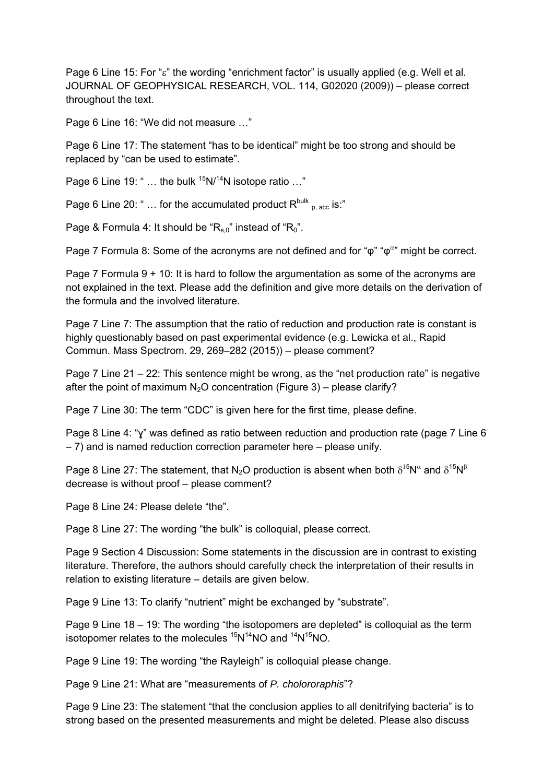Page 6 Line 15: For " $\varepsilon$ " the wording "enrichment factor" is usually applied (e.g. Well et al. JOURNAL OF GEOPHYSICAL RESEARCH, VOL. 114, G02020 (2009)) – please correct throughout the text.

Page 6 Line 16: "We did not measure …"

Page 6 Line 17: The statement "has to be identical" might be too strong and should be replaced by "can be used to estimate".

Page 6 Line 19: " ... the bulk  $15N/14N$  isotope ratio ..."

Page 6 Line 20: " ... for the accumulated product  $R^{\text{bulk}}_{p, \text{acc}}$  is:"

Page & Formula 4: It should be " $R_{s,0}$ " instead of " $R_0$ ".

Page 7 Formula 8: Some of the acronyms are not defined and for " $\varphi$ " " $\varphi$ <sup>"</sup>" might be correct.

Page 7 Formula 9 + 10: It is hard to follow the argumentation as some of the acronyms are not explained in the text. Please add the definition and give more details on the derivation of the formula and the involved literature.

Page 7 Line 7: The assumption that the ratio of reduction and production rate is constant is highly questionably based on past experimental evidence (e.g. Lewicka et al., Rapid Commun. Mass Spectrom. 29, 269–282 (2015)) – please comment?

Page 7 Line 21 – 22: This sentence might be wrong, as the "net production rate" is negative after the point of maximum  $N_2O$  concentration (Figure 3) – please clarify?

Page 7 Line 30: The term "CDC" is given here for the first time, please define.

Page 8 Line 4: "ɣ" was defined as ratio between reduction and production rate (page 7 Line 6 – 7) and is named reduction correction parameter here – please unify.

Page 8 Line 27: The statement, that N<sub>2</sub>O production is absent when both  $\delta^{15}N^{\alpha}$  and  $\delta^{15}N^{\beta}$ decrease is without proof – please comment?

Page 8 Line 24: Please delete "the".

Page 8 Line 27: The wording "the bulk" is colloquial, please correct.

Page 9 Section 4 Discussion: Some statements in the discussion are in contrast to existing literature. Therefore, the authors should carefully check the interpretation of their results in relation to existing literature – details are given below.

Page 9 Line 13: To clarify "nutrient" might be exchanged by "substrate".

Page 9 Line 18 – 19: The wording "the isotopomers are depleted" is colloquial as the term isotopomer relates to the molecules  ${}^{15}N^{14}NO$  and  ${}^{14}N^{15}NO$ .

Page 9 Line 19: The wording "the Rayleigh" is colloquial please change.

Page 9 Line 21: What are "measurements of *P. cholororaphis*"?

Page 9 Line 23: The statement "that the conclusion applies to all denitrifying bacteria" is to strong based on the presented measurements and might be deleted. Please also discuss